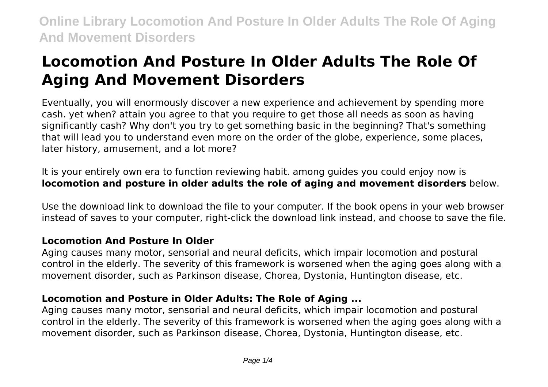# **Locomotion And Posture In Older Adults The Role Of Aging And Movement Disorders**

Eventually, you will enormously discover a new experience and achievement by spending more cash. yet when? attain you agree to that you require to get those all needs as soon as having significantly cash? Why don't you try to get something basic in the beginning? That's something that will lead you to understand even more on the order of the globe, experience, some places, later history, amusement, and a lot more?

It is your entirely own era to function reviewing habit. among guides you could enjoy now is **locomotion and posture in older adults the role of aging and movement disorders** below.

Use the download link to download the file to your computer. If the book opens in your web browser instead of saves to your computer, right-click the download link instead, and choose to save the file.

### **Locomotion And Posture In Older**

Aging causes many motor, sensorial and neural deficits, which impair locomotion and postural control in the elderly. The severity of this framework is worsened when the aging goes along with a movement disorder, such as Parkinson disease, Chorea, Dystonia, Huntington disease, etc.

### **Locomotion and Posture in Older Adults: The Role of Aging ...**

Aging causes many motor, sensorial and neural deficits, which impair locomotion and postural control in the elderly. The severity of this framework is worsened when the aging goes along with a movement disorder, such as Parkinson disease, Chorea, Dystonia, Huntington disease, etc.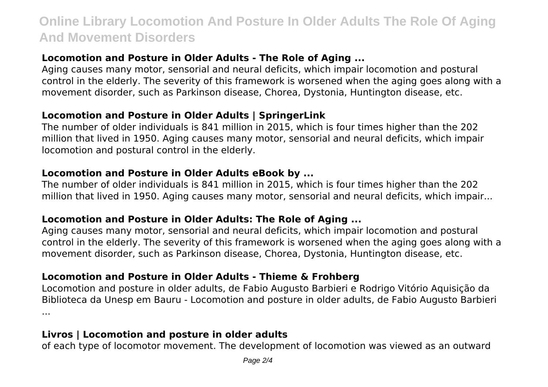### **Locomotion and Posture in Older Adults - The Role of Aging ...**

Aging causes many motor, sensorial and neural deficits, which impair locomotion and postural control in the elderly. The severity of this framework is worsened when the aging goes along with a movement disorder, such as Parkinson disease, Chorea, Dystonia, Huntington disease, etc.

### **Locomotion and Posture in Older Adults | SpringerLink**

The number of older individuals is 841 million in 2015, which is four times higher than the 202 million that lived in 1950. Aging causes many motor, sensorial and neural deficits, which impair locomotion and postural control in the elderly.

### **Locomotion and Posture in Older Adults eBook by ...**

The number of older individuals is 841 million in 2015, which is four times higher than the 202 million that lived in 1950. Aging causes many motor, sensorial and neural deficits, which impair...

### **Locomotion and Posture in Older Adults: The Role of Aging ...**

Aging causes many motor, sensorial and neural deficits, which impair locomotion and postural control in the elderly. The severity of this framework is worsened when the aging goes along with a movement disorder, such as Parkinson disease, Chorea, Dystonia, Huntington disease, etc.

### **Locomotion and Posture in Older Adults - Thieme & Frohberg**

Locomotion and posture in older adults, de Fabio Augusto Barbieri e Rodrigo Vitório Aquisição da Biblioteca da Unesp em Bauru - Locomotion and posture in older adults, de Fabio Augusto Barbieri ...

### **Livros | Locomotion and posture in older adults**

of each type of locomotor movement. The development of locomotion was viewed as an outward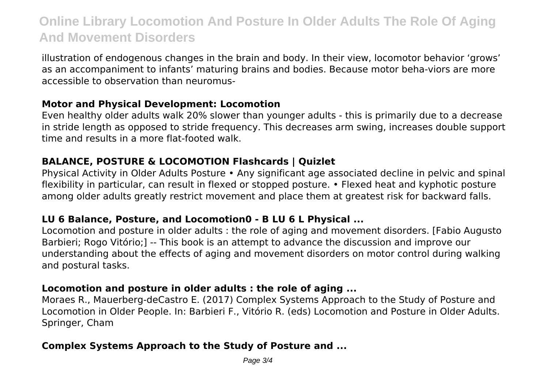illustration of endogenous changes in the brain and body. In their view, locomotor behavior 'grows' as an accompaniment to infants' maturing brains and bodies. Because motor beha-viors are more accessible to observation than neuromus-

### **Motor and Physical Development: Locomotion**

Even healthy older adults walk 20% slower than younger adults - this is primarily due to a decrease in stride length as opposed to stride frequency. This decreases arm swing, increases double support time and results in a more flat-footed walk.

### **BALANCE, POSTURE & LOCOMOTION Flashcards | Quizlet**

Physical Activity in Older Adults Posture • Any significant age associated decline in pelvic and spinal flexibility in particular, can result in flexed or stopped posture. • Flexed heat and kyphotic posture among older adults greatly restrict movement and place them at greatest risk for backward falls.

### **LU 6 Balance, Posture, and Locomotion0 - B LU 6 L Physical ...**

Locomotion and posture in older adults : the role of aging and movement disorders. [Fabio Augusto Barbieri; Rogo Vitório;] -- This book is an attempt to advance the discussion and improve our understanding about the effects of aging and movement disorders on motor control during walking and postural tasks.

### **Locomotion and posture in older adults : the role of aging ...**

Moraes R., Mauerberg-deCastro E. (2017) Complex Systems Approach to the Study of Posture and Locomotion in Older People. In: Barbieri F., Vitório R. (eds) Locomotion and Posture in Older Adults. Springer, Cham

### **Complex Systems Approach to the Study of Posture and ...**